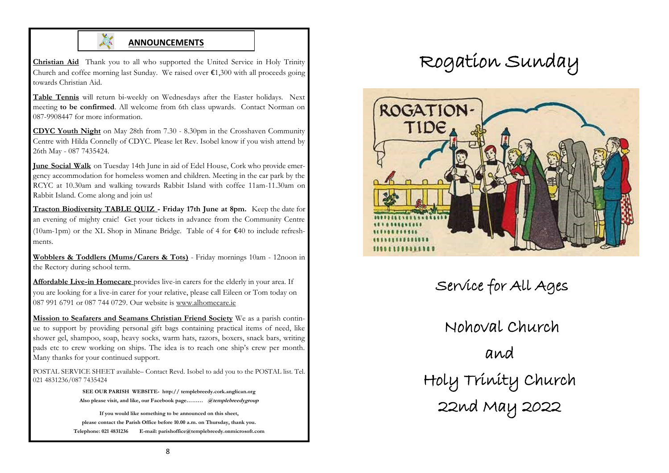

# **ANNOUNCEMENTS**

**Christian Aid** Thank you to all who supported the United Service in Holy Trinity Church and coffee morning last Sunday. We raised over  $\epsilon$ 1,300 with all proceeds going towards Christian Aid.

**Table Tennis** will return bi-weekly on Wednesdays after the Easter holidays. Next meeting **to be confirmed**. All welcome from 6th class upwards. Contact Norman on 087-9908447 for more information.

**CDYC Youth Night** on May 28th from 7.30 - 8.30pm in the Crosshaven Community Centre with Hilda Connelly of CDYC. Please let Rev. Isobel know if you wish attend by 26th May - 087 7435424.

**June Social Walk** on Tuesday 14th June in aid of Edel House, Cork who provide emergency accommodation for homeless women and children. Meeting in the car park by the RCYC at 10.30am and walking towards Rabbit Island with coffee 11am-11.30am on Rabbit Island. Come along and join us!

**Tracton Biodiversity TABLE QUIZ - Friday 17th June at 8pm.** Keep the date for an evening of mighty craic! Get your tickets in advance from the Community Centre (10am-1pm) or the XL Shop in Minane Bridge. Table of 4 for  $\epsilon$ 40 to include refreshments.

**Wobblers & Toddlers (Mums/Carers & Tots)** - Friday mornings 10am - 12noon in the Rectory during school term.

**Affordable Live-in Homecare** provides live-in carers for the elderly in your area. If you are looking for a live-in carer for your relative, please call Eileen or Tom today on 087 991 6791 or 087 744 0729. Our website is [www.alhomecare.ie](http://www.alhomecare.ie/)

**Mission to Seafarers and Seamans Christian Friend Society** We as a parish continue to support by providing personal gift bags containing practical items of need, like shower gel, shampoo, soap, heavy socks, warm hats, razors, boxers, snack bars, writing pads etc to crew working on ships. The idea is to reach one ship's crew per month. Many thanks for your continued support.

POSTAL SERVICE SHEET available– Contact Revd. Isobel to add you to the POSTAL list. Tel. 021 4831236/087 7435424

> **SEE OUR PARISH WEBSITE- http:// templebreedy.cork.anglican.org Also please visit, and like, our Facebook page……… @templebreedygroup**

**If you would like something to be announced on this sheet, please contact the Parish Office before 10.00 a.m. on Thursday, thank you. Telephone: 021 4831236 E-mail: parishoffice@templebreedy.onmicrosoft.com**

# Rogation Sunday



Service for All Ages

Nohoval Church

and Holy Trinity Church 22nd May 2022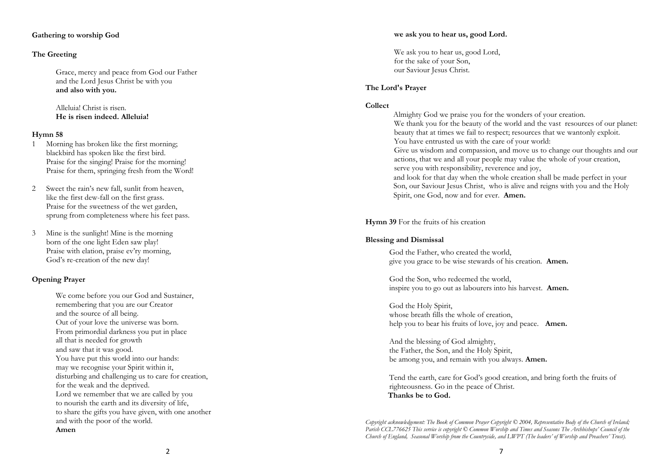## **Gathering to worship God**

## **The Greeting**

Grace, mercy and peace from God our Father and the Lord Jesus Christ be with you **and also with you.** 

Alleluia! Christ is risen. **He is risen indeed. Alleluia!**

#### **Hymn 58**

- 1 Morning has broken like the first morning; blackbird has spoken like the first bird. Praise for the singing! Praise for the morning! Praise for them, springing fresh from the Word!
- 2 Sweet the rain's new fall, sunlit from heaven, like the first dew -fall on the first grass. Praise for the sweetness of the wet garden, sprung from completeness where his feet pass.
- 3 Mine is the sunlight! Mine is the morning born of the one light Eden saw play! Praise with elation, praise ev'ry morning, God's re -creation of the new day!

## **Opening Prayer**

We come before you our God and Sustainer, remembering that you are our Creator and the source of all being. Out of your love the universe was born. From primordial darkness you put in place all that is needed for growth and saw that it was good. You have put this world into our hands: may we recognise your Spirit within it, disturbing and challenging us to care for creation, for the weak and the deprived. Lord we remember that we are called by you to nourish the earth and its diversity of life, to share the gifts you have given, with one another and with the poor of the world. **Amen** 

#### **we ask you to hear us, good Lord.**

We ask you to hear us, good Lord, for the sake of your Son, our Saviour Jesus Christ.

## **The Lord's Prayer**

#### **Collect**

 Almighty God we praise you for the wonders of your creation. We thank you for the beauty of the world and the vast resources of our planet: beauty that at times we fail to respect; resources that we wantonly exploit. You have entrusted us with the care of your world:

Give us wisdom and compassion, and move us to change our thoughts and our actions, that we and all your people may value the whole of your creation, serve you with responsibility, reverence and joy,

and look for that day when the whole creation shall be made perfect in your Son, our Saviour Jesus Christ, who is alive and reigns with you and the Holy Spirit, one God, now and for ever. **Amen.** 

#### **Hymn 39** For the fruits of his creation

#### **Blessing and Dismissal**

God the Father, who created the world, give you grace to be wise stewards of his creation. **Amen.**

God the Son, who redeemed the world, inspire you to go out as labourers into his harvest. **Amen.**

God the Holy Spirit, whose breath fills the whole of creation, help you to bear his fruits of love, joy and peace. **Amen.**

And the blessing of God almighty, the Father, the Son, and the Holy Spirit, be among you, and remain with you always. **Amen.** 

Tend the earth, care for God's good creation, and bring forth the fruits of righteousness. Go in the peace of Christ. **Thanks be to God.**

*Copyright acknowledgement: The Book of Common Prayer Copyright © 2004, Representative Body of the Church of Ireland; Parish CCL776625 This service is copyright © Common Worship and Times and Seasons The Archbishops' Council of the Church of England, Seasonal Worship from the Countryside, and LWPT (The leaders' of Worship and Preachers' Trust).*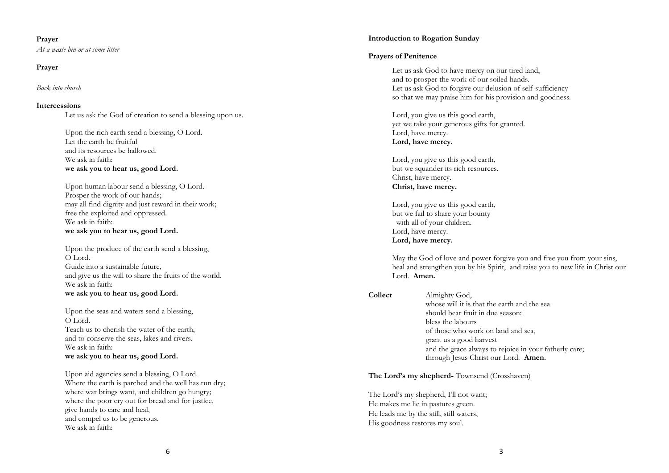#### **Prayer**

*At a waste bin or at some litter*

## **Prayer**

## *Back into church*

## **Intercessions**

Let us ask the God of creation to send a blessing upon us.

Upon the rich earth send a blessing, O Lord. Let the earth be fruitful and its resources be hallowed. We ask in faith: **we ask you to hear us, good Lord.**

Upon human labour send a blessing, O Lord. Prosper the work of our hands; may all find dignity and just reward in their work; free the exploited and oppressed. We ask in faith: **we ask you to hear us, good Lord.**

Upon the produce of the earth send a blessing, O Lord. Guide into a sustainable future, and give us the will to share the fruits of the world. We ask in faith: **we ask you to hear us, good Lord.**

Upon the seas and waters send a blessing, O Lord. Teach us to cherish the water of the earth, and to conserve the seas, lakes and rivers. We ask in faith: **we ask you to hear us, good Lord.**

Upon aid agencies send a blessing, O Lord. Where the earth is parched and the well has run dry; where war brings want, and children go hungry; where the poor cry out for bread and for justice, give hands to care and heal, and compel us to be generous. We ask in faith:

## **Introduction to Rogation Sunday**

## **Prayers of Penitence**

Let us ask God to have mercy on our tired land, and to prosper the work of our soiled hands. Let us ask God to forgive our delusion of self-sufficiency so that we may praise him for his provision and goodness.

Lord, you give us this good earth. yet we take your generous gifts for granted. Lord, have mercy. **Lord, have mercy.**

Lord, you give us this good earth, but we squander its rich resources. Christ, have mercy. **Christ, have mercy.**

Lord, you give us this good earth. but we fail to share your bounty with all of your children. Lord, have mercy. **Lord, have mercy.**

May the God of love and power forgive you and free you from your sins, heal and strengthen you by his Spirit, and raise you to new life in Christ our Lord. **Amen.**

**Collect** Almighty God, whose will it is that the earth and the sea should bear fruit in due season: bless the labours of those who work on land and sea, grant us a good harvest and the grace always to rejoice in your fatherly care; through Jesus Christ our Lord. **Amen.**

**The Lord's my shepherd-** Townsend (Crosshaven)

The Lord's my shepherd, I'll not want; He makes me lie in pastures green. He leads me by the still, still waters, His goodness restores my soul.